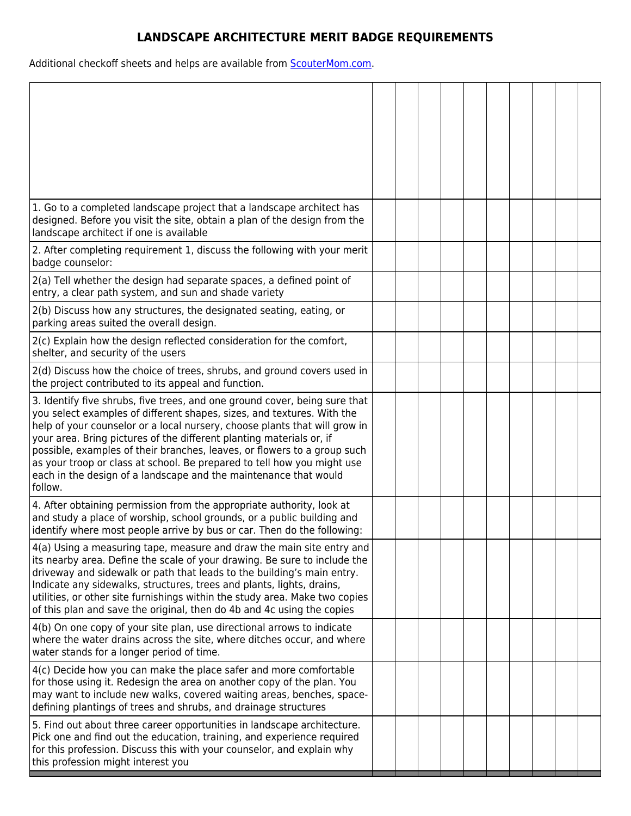## **LANDSCAPE ARCHITECTURE MERIT BADGE REQUIREMENTS**

Additional checkoff sheets and helps are available from **ScouterMom.com**.

| 1. Go to a completed landscape project that a landscape architect has<br>designed. Before you visit the site, obtain a plan of the design from the<br>landscape architect if one is available                                                                                                                                                                                                                                                                                                                                                    |  |  |  |  |  |
|--------------------------------------------------------------------------------------------------------------------------------------------------------------------------------------------------------------------------------------------------------------------------------------------------------------------------------------------------------------------------------------------------------------------------------------------------------------------------------------------------------------------------------------------------|--|--|--|--|--|
| 2. After completing requirement 1, discuss the following with your merit<br>badge counselor:                                                                                                                                                                                                                                                                                                                                                                                                                                                     |  |  |  |  |  |
| 2(a) Tell whether the design had separate spaces, a defined point of<br>entry, a clear path system, and sun and shade variety                                                                                                                                                                                                                                                                                                                                                                                                                    |  |  |  |  |  |
| 2(b) Discuss how any structures, the designated seating, eating, or<br>parking areas suited the overall design.                                                                                                                                                                                                                                                                                                                                                                                                                                  |  |  |  |  |  |
| 2(c) Explain how the design reflected consideration for the comfort,<br>shelter, and security of the users                                                                                                                                                                                                                                                                                                                                                                                                                                       |  |  |  |  |  |
| 2(d) Discuss how the choice of trees, shrubs, and ground covers used in<br>the project contributed to its appeal and function.                                                                                                                                                                                                                                                                                                                                                                                                                   |  |  |  |  |  |
| 3. Identify five shrubs, five trees, and one ground cover, being sure that<br>you select examples of different shapes, sizes, and textures. With the<br>help of your counselor or a local nursery, choose plants that will grow in<br>your area. Bring pictures of the different planting materials or, if<br>possible, examples of their branches, leaves, or flowers to a group such<br>as your troop or class at school. Be prepared to tell how you might use<br>each in the design of a landscape and the maintenance that would<br>follow. |  |  |  |  |  |
| 4. After obtaining permission from the appropriate authority, look at<br>and study a place of worship, school grounds, or a public building and<br>identify where most people arrive by bus or car. Then do the following:                                                                                                                                                                                                                                                                                                                       |  |  |  |  |  |
| 4(a) Using a measuring tape, measure and draw the main site entry and<br>its nearby area. Define the scale of your drawing. Be sure to include the<br>driveway and sidewalk or path that leads to the building's main entry.<br>Indicate any sidewalks, structures, trees and plants, lights, drains,<br>utilities, or other site furnishings within the study area. Make two copies<br>of this plan and save the original, then do 4b and 4c using the copies                                                                                   |  |  |  |  |  |
| 4(b) On one copy of your site plan, use directional arrows to indicate<br>where the water drains across the site, where ditches occur, and where<br>water stands for a longer period of time.                                                                                                                                                                                                                                                                                                                                                    |  |  |  |  |  |
| 4(c) Decide how you can make the place safer and more comfortable<br>for those using it. Redesign the area on another copy of the plan. You<br>may want to include new walks, covered waiting areas, benches, space-<br>defining plantings of trees and shrubs, and drainage structures                                                                                                                                                                                                                                                          |  |  |  |  |  |
| 5. Find out about three career opportunities in landscape architecture.<br>Pick one and find out the education, training, and experience required<br>for this profession. Discuss this with your counselor, and explain why<br>this profession might interest you                                                                                                                                                                                                                                                                                |  |  |  |  |  |